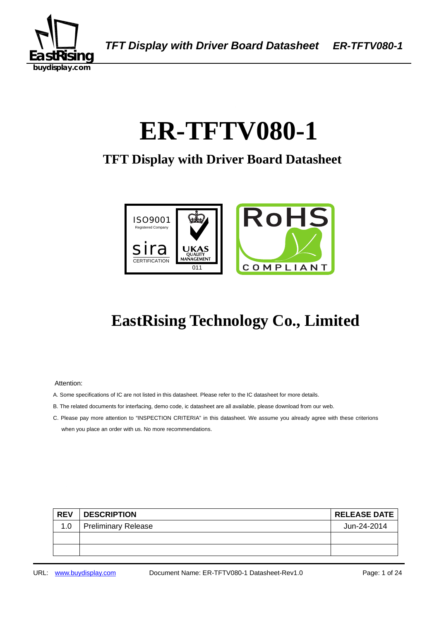

# 0B 1B**ER-TFTV080-1**

## **TFT Display with Driver Board Datasheet**



## **EastRising Technology Co., Limited**

Attention:

- A. Some specifications of IC are not listed in this datasheet. Please refer to the IC datasheet for more details.
- B. The related documents for interfacing, demo code, ic datasheet are all available, please download from our web.
- C. Please pay more attention to "INSPECTION CRITERIA" in this datasheet. We assume you already agree with these criterions when you place an order with us. No more recommendations.

| <b>REV</b> | <b>DESCRIPTION</b>         | <b>RELEASE DATE</b> |
|------------|----------------------------|---------------------|
| 1.0        | <b>Preliminary Release</b> | Jun-24-2014         |
|            |                            |                     |
|            |                            |                     |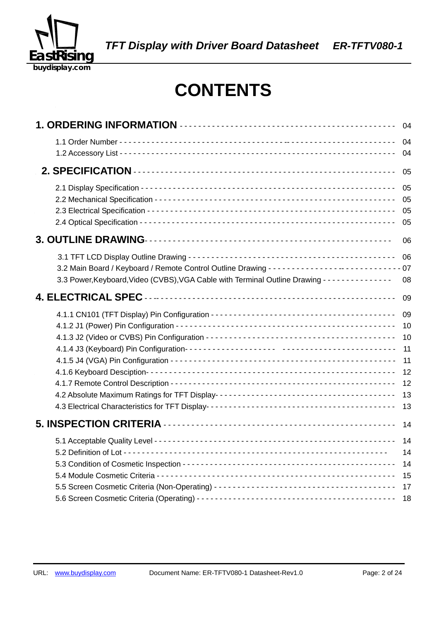

## **CONTENTS**

|                                                                                                          | 04                                                 |
|----------------------------------------------------------------------------------------------------------|----------------------------------------------------|
|                                                                                                          | 04<br>04                                           |
|                                                                                                          | 05                                                 |
|                                                                                                          | 05<br>05<br>05<br>05                               |
|                                                                                                          | 06                                                 |
| 3.3 Power, Keyboard, Video (CVBS), VGA Cable with Terminal Outline Drawing - - - - - - - - - - - - - - - | 06<br>08                                           |
|                                                                                                          | 09                                                 |
|                                                                                                          | 09<br>10<br>10<br>11<br>11<br>12<br>12<br>13<br>13 |
|                                                                                                          | 14                                                 |
|                                                                                                          | 14<br>14<br>14<br>15<br>17                         |
|                                                                                                          | 18                                                 |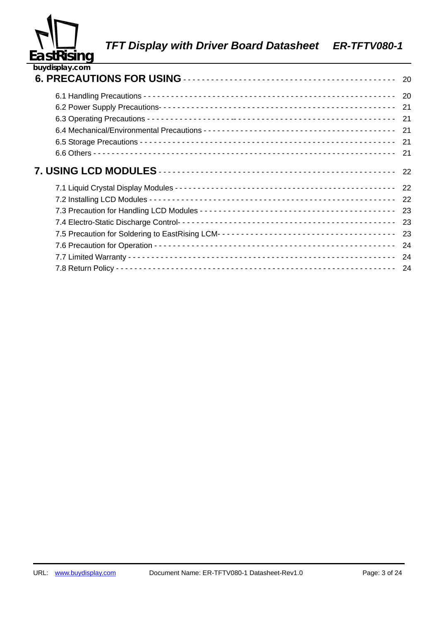

| buydisplay.com |    |
|----------------|----|
|                | 20 |
|                | 20 |
|                | 21 |
|                | 21 |
|                | 21 |
|                | 21 |
|                | 21 |
|                | 22 |
|                | 22 |
|                | 22 |
|                | 23 |
|                | 23 |
|                | 23 |
|                | 24 |
|                | 24 |
|                | 24 |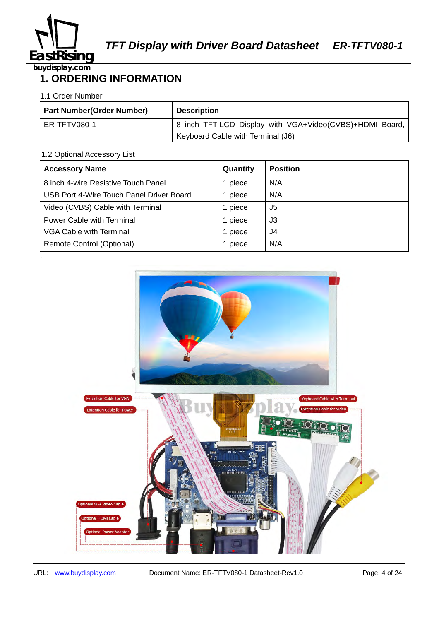

## **1. ORDERING INFORMATION**

#### 1.1 Order Number

| <b>Part Number (Order Number)</b> | <b>Description</b>                                      |
|-----------------------------------|---------------------------------------------------------|
| ER-TFTV080-1                      | 8 inch TFT-LCD Display with VGA+Video(CVBS)+HDMI Board, |
|                                   | Keyboard Cable with Terminal (J6)                       |

#### 1.2 Optional Accessory List

| <b>Accessory Name</b>                    | Quantity | <b>Position</b> |
|------------------------------------------|----------|-----------------|
| 8 inch 4-wire Resistive Touch Panel      | piece    | N/A             |
| USB Port 4-Wire Touch Panel Driver Board | piece    | N/A             |
| Video (CVBS) Cable with Terminal         | piece    | J5              |
| <b>Power Cable with Terminal</b>         | piece    | J3              |
| <b>VGA Cable with Terminal</b>           | piece    | J4              |
| Remote Control (Optional)                | 1 piece  | N/A             |

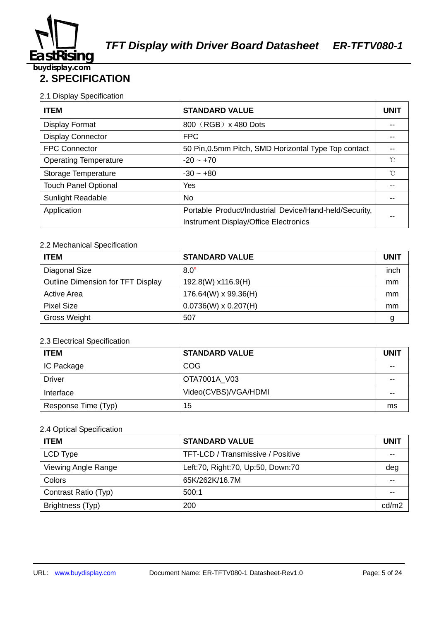

## **2. SPECIFICATION**

#### 2.1 Display Specification

| <b>ITEM</b>                  | <b>STANDARD VALUE</b>                                  | <b>UNIT</b> |
|------------------------------|--------------------------------------------------------|-------------|
| Display Format               | 800 (RGB) x 480 Dots                                   |             |
| <b>Display Connector</b>     | <b>FPC</b>                                             |             |
| <b>FPC Connector</b>         | 50 Pin, 0.5mm Pitch, SMD Horizontal Type Top contact   |             |
| <b>Operating Temperature</b> | $-20 - +70$                                            | °C          |
| Storage Temperature          | $-30 - +80$                                            | $^{\circ}C$ |
| <b>Touch Panel Optional</b>  | Yes                                                    |             |
| <b>Sunlight Readable</b>     | No.                                                    |             |
| Application                  | Portable Product/Industrial Device/Hand-held/Security, |             |
|                              | Instrument Display/Office Electronics                  |             |

#### 2.2 Mechanical Specification

| <b>ITEM</b>                              | <b>STANDARD VALUE</b>       | <b>UNIT</b> |
|------------------------------------------|-----------------------------|-------------|
| Diagonal Size                            | 8.0"                        | inch        |
| <b>Outline Dimension for TFT Display</b> | 192.8(W) x116.9(H)          | mm          |
| <b>Active Area</b>                       | 176.64(W) x 99.36(H)        | mm          |
| <b>Pixel Size</b>                        | $0.0736(W) \times 0.207(H)$ | mm          |
| <b>Gross Weight</b>                      | 507                         |             |

#### 2.3 Electrical Specification

| <b>ITEM</b>         | <b>STANDARD VALUE</b> | UNIT |
|---------------------|-----------------------|------|
| IC Package          | <b>COG</b>            | --   |
| <b>Driver</b>       | OTA7001A V03          | --   |
| Interface           | Video(CVBS)/VGA/HDMI  | --   |
| Response Time (Typ) | 15                    | ms   |

#### 2.4 Optical Specification

| <b>ITEM</b>          | <b>STANDARD VALUE</b>             | <b>UNIT</b> |
|----------------------|-----------------------------------|-------------|
| LCD Type             | TFT-LCD / Transmissive / Positive |             |
| Viewing Angle Range  | Left:70, Right:70, Up:50, Down:70 | deg         |
| Colors               | 65K/262K/16.7M                    |             |
| Contrast Ratio (Typ) | 500:1                             |             |
| Brightness (Typ)     | 200                               | cd/m2       |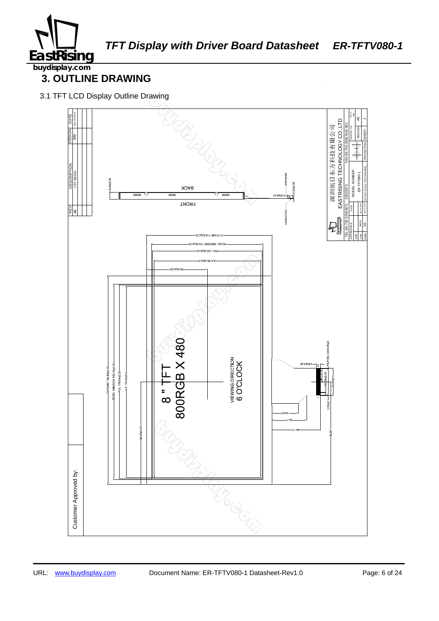

## **3. OUTLINE DRAWING**

3.1 TFT LCD Display Outline Drawing

![](_page_5_Figure_5.jpeg)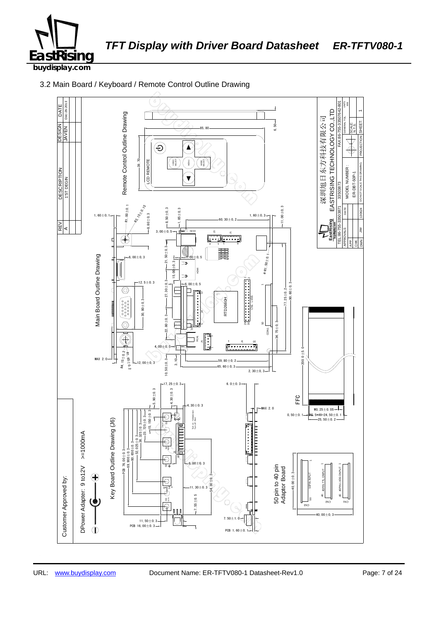![](_page_6_Picture_0.jpeg)

3.2 Main Board / Keyboard / Remote Control Outline Drawing

![](_page_6_Figure_4.jpeg)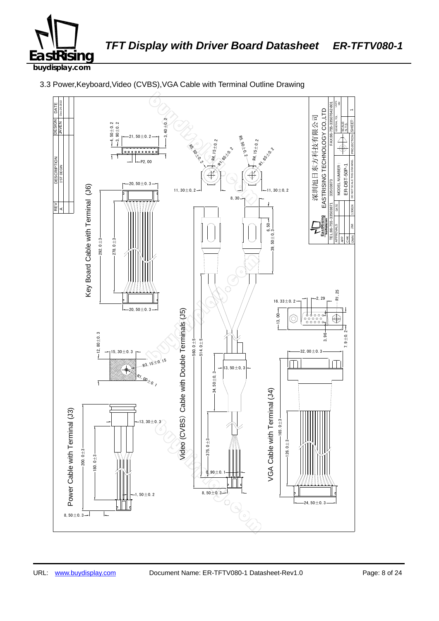![](_page_7_Picture_0.jpeg)

![](_page_7_Figure_3.jpeg)

3.3 Power,Keyboard,Video (CVBS),VGA Cable with Terminal Outline Drawing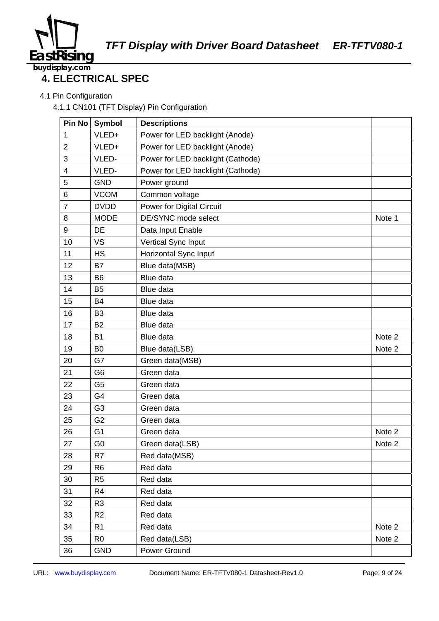![](_page_8_Picture_0.jpeg)

### 176B38521460B75 **4. ELECTRICAL SPEC**

4.1 Pin Configuration

4.1.1 CN101 (TFT Display) Pin Configuration

| Pin No           | <b>Symbol</b>  | <b>Descriptions</b>               |        |
|------------------|----------------|-----------------------------------|--------|
| 1                | VLED+          | Power for LED backlight (Anode)   |        |
| $\overline{2}$   | VLED+          | Power for LED backlight (Anode)   |        |
| 3                | VLED-          | Power for LED backlight (Cathode) |        |
| 4                | VLED-          | Power for LED backlight (Cathode) |        |
| 5                | <b>GND</b>     | Power ground                      |        |
| 6                | <b>VCOM</b>    | Common voltage                    |        |
| $\overline{7}$   | <b>DVDD</b>    | Power for Digital Circuit         |        |
| 8                | <b>MODE</b>    | DE/SYNC mode select               | Note 1 |
| $\boldsymbol{9}$ | DE             | Data Input Enable                 |        |
| 10               | <b>VS</b>      | Vertical Sync Input               |        |
| 11               | <b>HS</b>      | Horizontal Sync Input             |        |
| 12               | B7             | Blue data(MSB)                    |        |
| 13               | B <sub>6</sub> | Blue data                         |        |
| 14               | B <sub>5</sub> | Blue data                         |        |
| 15               | <b>B4</b>      | Blue data                         |        |
| 16               | B <sub>3</sub> | Blue data                         |        |
| 17               | <b>B2</b>      | Blue data                         |        |
| 18               | <b>B1</b>      | Blue data                         | Note 2 |
| 19               | B <sub>0</sub> | Blue data(LSB)                    | Note 2 |
| 20               | G7             | Green data(MSB)                   |        |
| 21               | G <sub>6</sub> | Green data                        |        |
| 22               | G <sub>5</sub> | Green data                        |        |
| 23               | G4             | Green data                        |        |
| 24               | G <sub>3</sub> | Green data                        |        |
| 25               | G <sub>2</sub> | Green data                        |        |
| 26               | G <sub>1</sub> | Green data                        | Note 2 |
| 27               | G <sub>0</sub> | Green data(LSB)                   | Note 2 |
| 28               | R7             | Red data(MSB)                     |        |
| 29               | R <sub>6</sub> | Red data                          |        |
| 30               | R <sub>5</sub> | Red data                          |        |
| 31               | R4             | Red data                          |        |
| 32               | R <sub>3</sub> | Red data                          |        |
| 33               | R <sub>2</sub> | Red data                          |        |
| 34               | R <sub>1</sub> | Red data                          | Note 2 |
| 35               | R <sub>0</sub> | Red data(LSB)                     | Note 2 |
| 36               | <b>GND</b>     | Power Ground                      |        |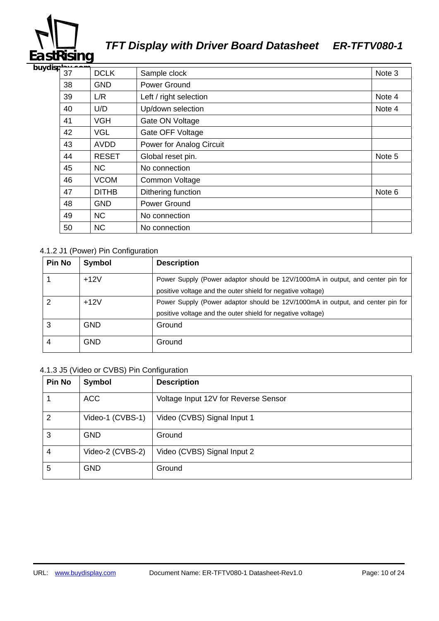# ī **EastRising**

## *TFT Display with Driver Board Datasheet ER-TFTV080-1*

| buydisp $\frac{1}{37}$ |    | <b>DCLK</b>  | Sample clock             | Note 3 |
|------------------------|----|--------------|--------------------------|--------|
|                        | 38 | <b>GND</b>   | Power Ground             |        |
|                        | 39 | L/R          | Left / right selection   | Note 4 |
|                        | 40 | U/D          | Up/down selection        | Note 4 |
|                        | 41 | <b>VGH</b>   | Gate ON Voltage          |        |
|                        | 42 | <b>VGL</b>   | Gate OFF Voltage         |        |
|                        | 43 | AVDD         | Power for Analog Circuit |        |
|                        | 44 | <b>RESET</b> | Global reset pin.        | Note 5 |
|                        | 45 | <b>NC</b>    | No connection            |        |
|                        | 46 | <b>VCOM</b>  | Common Voltage           |        |
|                        | 47 | <b>DITHB</b> | Dithering function       | Note 6 |
|                        | 48 | <b>GND</b>   | Power Ground             |        |
|                        | 49 | <b>NC</b>    | No connection            |        |
|                        | 50 | <b>NC</b>    | No connection            |        |

#### 4.1.2 J1 (Power) Pin Configuration

| <b>Pin No</b> | <b>Symbol</b> | <b>Description</b>                                                             |
|---------------|---------------|--------------------------------------------------------------------------------|
|               | $+12V$        | Power Supply (Power adaptor should be 12V/1000mA in output, and center pin for |
|               |               | positive voltage and the outer shield for negative voltage)                    |
| 2             | $+12V$        | Power Supply (Power adaptor should be 12V/1000mA in output, and center pin for |
|               |               | positive voltage and the outer shield for negative voltage)                    |
| 3             | <b>GND</b>    | Ground                                                                         |
| 4             | GND           | Ground                                                                         |

#### 4.1.3 J5 (Video or CVBS) Pin Configuration

| <b>Pin No</b>  | Symbol           | <b>Description</b>                   |
|----------------|------------------|--------------------------------------|
|                | <b>ACC</b>       | Voltage Input 12V for Reverse Sensor |
| 2              | Video-1 (CVBS-1) | Video (CVBS) Signal Input 1          |
| 3              | <b>GND</b>       | Ground                               |
| $\overline{4}$ | Video-2 (CVBS-2) | Video (CVBS) Signal Input 2          |
| 5              | <b>GND</b>       | Ground                               |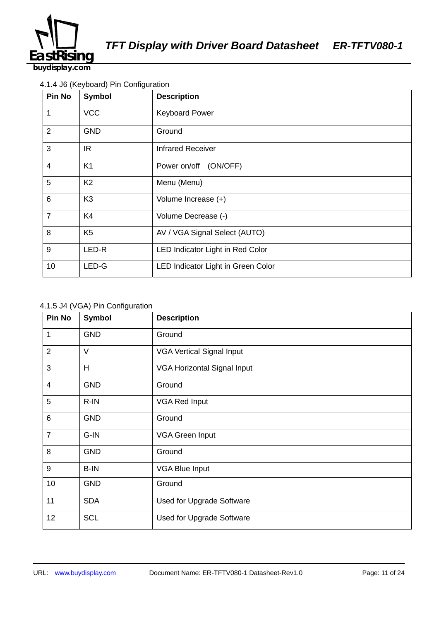![](_page_10_Picture_0.jpeg)

#### 4.1.4 J6 (Keyboard) Pin Configuration

| <b>Pin No</b>   | Symbol         | <b>Description</b>                 |
|-----------------|----------------|------------------------------------|
| 1               | <b>VCC</b>     | <b>Keyboard Power</b>              |
| 2               | <b>GND</b>     | Ground                             |
| 3               | IR.            | <b>Infrared Receiver</b>           |
| $\overline{4}$  | K <sub>1</sub> | (ON/OFF)<br>Power on/off           |
| 5               | K <sub>2</sub> | Menu (Menu)                        |
| $6\phantom{1}6$ | K <sub>3</sub> | Volume Increase (+)                |
| $\overline{7}$  | K4             | Volume Decrease (-)                |
| 8               | K <sub>5</sub> | AV / VGA Signal Select (AUTO)      |
| 9               | LED-R          | LED Indicator Light in Red Color   |
| 10              | LED-G          | LED Indicator Light in Green Color |

#### 4.1.5 J4 (VGA) Pin Configuration

| Pin No         | <b>Symbol</b> | <b>Description</b>               |
|----------------|---------------|----------------------------------|
| 1              | <b>GND</b>    | Ground                           |
| $\overline{2}$ | V             | <b>VGA Vertical Signal Input</b> |
| 3              | H             | VGA Horizontal Signal Input      |
| $\overline{4}$ | <b>GND</b>    | Ground                           |
| 5              | $R$ -IN       | <b>VGA Red Input</b>             |
| $\,6$          | <b>GND</b>    | Ground                           |
| $\overline{7}$ | G-IN          | <b>VGA Green Input</b>           |
| 8              | <b>GND</b>    | Ground                           |
| 9              | B-IN          | <b>VGA Blue Input</b>            |
| 10             | <b>GND</b>    | Ground                           |
| 11             | <b>SDA</b>    | Used for Upgrade Software        |
| 12             | <b>SCL</b>    | Used for Upgrade Software        |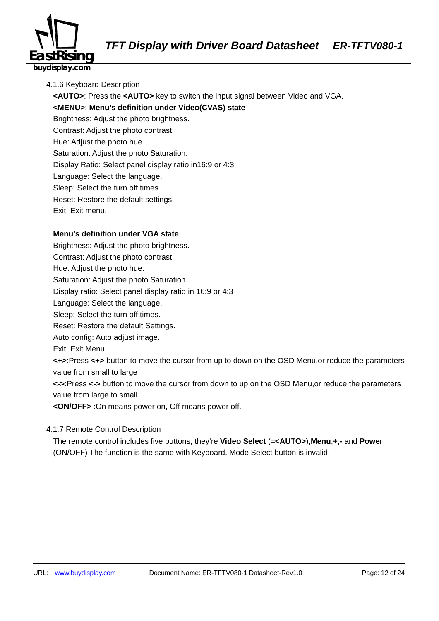![](_page_11_Picture_0.jpeg)

- 4.1.6 Keyboard Description
	- 184B**<AUTO>**: Press the **<AUTO>** key to switch the input signal between Video and VGA.

185B**<MENU>**: **Menu's definition under Video(CVAS) state** 

Brightness: Adjust the photo brightness.

Contrast: Adjust the photo contrast.

Hue: Adjust the photo hue.

Saturation: Adjust the photo Saturation.

Display Ratio: Select panel display ratio in16:9 or 4:3

Language: Select the language.

Sleep: Select the turn off times.

Reset: Restore the default settings.

Exit: Exit menu.

#### **Menu's definition under VGA state**

Brightness: Adjust the photo brightness.

Contrast: Adjust the photo contrast.

Hue: Adjust the photo hue.

Saturation: Adjust the photo Saturation.

Display ratio: Select panel display ratio in 16:9 or 4:3

Language: Select the language.

Sleep: Select the turn off times.

Reset: Restore the default Settings.

Auto config: Auto adjust image.

Exit: Exit Menu.

206B**<+>**:Press **<+>** button to move the cursor from up to down on the OSD Menu,or reduce the parameters value from small to large

207B**<->**:Press **<->** button to move the cursor from down to up on the OSD Menu,or reduce the parameters value from large to small.

208B**<ON/OFF>** :On means power on, Off means power off.

#### 4.1.7 Remote Control Description

210BThe remote control includes five buttons, they're **Video Select** (=**<AUTO>**),**Menu**,**+,-** and **Powe**r (ON/OFF) The function is the same with Keyboard. Mode Select button is invalid.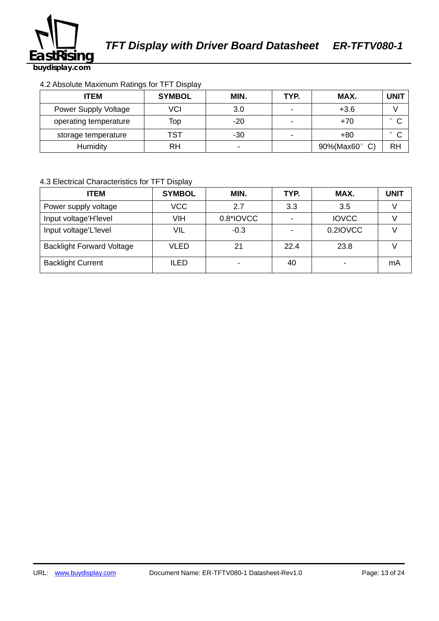![](_page_12_Picture_0.jpeg)

#### 4.2 Absolute Maximum Ratings for TFT Display

| <b>ITEM</b>           | <b>SYMBOL</b> | MIN.  | TYP. | MAX.       | <b>UNIT</b>       |
|-----------------------|---------------|-------|------|------------|-------------------|
| Power Supply Voltage  | VCI           | 3.0   |      | $+3.6$     |                   |
| operating temperature | Top           | $-20$ |      | +70        | $\circ$<br>$\sim$ |
| storage temperature   | TST           | $-30$ |      | $+80$      |                   |
| Humidity              | RH            | -     |      | 90%(Max60° | <b>RH</b>         |

#### 4.3 Electrical Characteristics for TFT Display

| <b>ITEM</b>                      | <b>SYMBOL</b> | MIN.      | TYP.                     | MAX.         | UNIT |
|----------------------------------|---------------|-----------|--------------------------|--------------|------|
| Power supply voltage             | <b>VCC</b>    | 2.7       | 3.3                      | 3.5          |      |
| Input voltage'H'level            | <b>VIH</b>    | 0.8*IOVCC | $\overline{\phantom{0}}$ | <b>IOVCC</b> |      |
| Input voltage'L'level            | VIL           | $-0.3$    |                          | 0.2IOVCC     |      |
| <b>Backlight Forward Voltage</b> | <b>VLED</b>   | 21        | 22.4                     | 23.8         |      |
| <b>Backlight Current</b>         | <b>ILED</b>   |           | 40                       |              | mA   |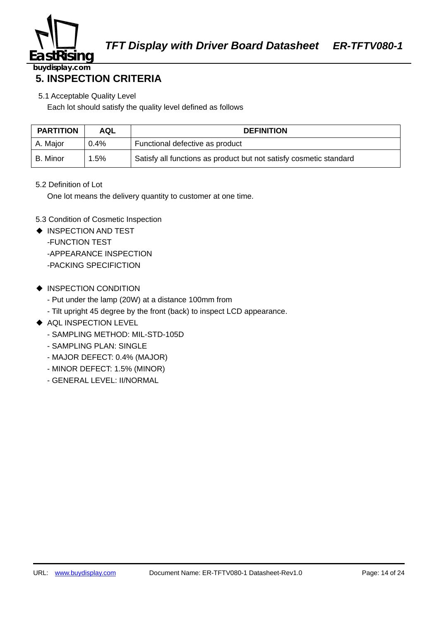![](_page_13_Picture_0.jpeg)

### **5. INSPECTION CRITERIA**

5.1 Acceptable Quality Level

Each lot should satisfy the quality level defined as follows

| <b>PARTITION</b> | AQL     | <b>DEFINITION</b>                                                  |
|------------------|---------|--------------------------------------------------------------------|
| A. Major         | $0.4\%$ | Functional defective as product                                    |
| B. Minor         | 1.5%    | Satisfy all functions as product but not satisfy cosmetic standard |

#### 5.2 Definition of Lot

One lot means the delivery quantity to customer at one time.

- 5.3 Condition of Cosmetic Inspection
- ◆ INSPECTION AND TEST -FUNCTION TEST -APPEARANCE INSPECTION -PACKING SPECIFICTION
- ◆ INSPECTION CONDITION
	- Put under the lamp (20W) at a distance 100mm from
	- Tilt upright 45 degree by the front (back) to inspect LCD appearance.
- ◆ AQL INSPECTION LEVEL
	- SAMPLING METHOD: MIL-STD-105D
	- SAMPLING PLAN: SINGLE
	- MAJOR DEFECT: 0.4% (MAJOR)
	- MINOR DEFECT: 1.5% (MINOR)
	- GENERAL LEVEL: II/NORMAL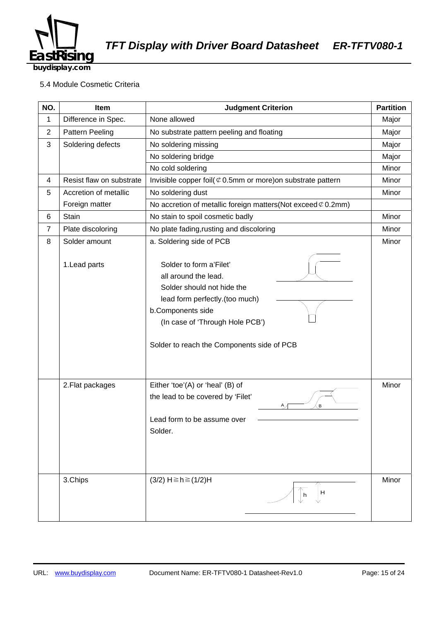![](_page_14_Picture_0.jpeg)

#### 5.4 Module Cosmetic Criteria

| NO.            | Item                     | <b>Judgment Criterion</b>                                                                                                                                                                                             | <b>Partition</b> |
|----------------|--------------------------|-----------------------------------------------------------------------------------------------------------------------------------------------------------------------------------------------------------------------|------------------|
| $\mathbf{1}$   | Difference in Spec.      | None allowed                                                                                                                                                                                                          | Major            |
| $\overline{2}$ | <b>Pattern Peeling</b>   | No substrate pattern peeling and floating                                                                                                                                                                             | Major            |
| 3              | Soldering defects        | No soldering missing                                                                                                                                                                                                  | Major            |
|                |                          | No soldering bridge                                                                                                                                                                                                   | Major            |
|                |                          | No cold soldering                                                                                                                                                                                                     | Minor            |
| 4              | Resist flaw on substrate | Invisible copper foil( $\mathcal Q$ 0.5mm or more) on substrate pattern                                                                                                                                               | Minor            |
| 5              | Accretion of metallic    | No soldering dust                                                                                                                                                                                                     | Minor            |
|                | Foreign matter           | No accretion of metallic foreign matters (Not exceed $\mathcal{C}$ 0.2mm)                                                                                                                                             |                  |
| 6              | Stain                    | No stain to spoil cosmetic badly                                                                                                                                                                                      | Minor            |
| $\overline{7}$ | Plate discoloring        | No plate fading, rusting and discoloring                                                                                                                                                                              | Minor            |
| 8              | Solder amount            | a. Soldering side of PCB                                                                                                                                                                                              | Minor            |
|                | 1. Lead parts            | Solder to form a'Filet'<br>all around the lead.<br>Solder should not hide the<br>lead form perfectly.(too much)<br>b.Components side<br>(In case of 'Through Hole PCB')<br>Solder to reach the Components side of PCB |                  |
|                | 2. Flat packages         | Either 'toe'(A) or 'heal' (B) of<br>the lead to be covered by 'Filet'<br>В<br>Lead form to be assume over<br>Solder.                                                                                                  | Minor            |
|                | 3.Chips                  | $(3/2)$ H $\ge$ h $\ge$ $(1/2)$ H<br>H<br>h                                                                                                                                                                           | Minor            |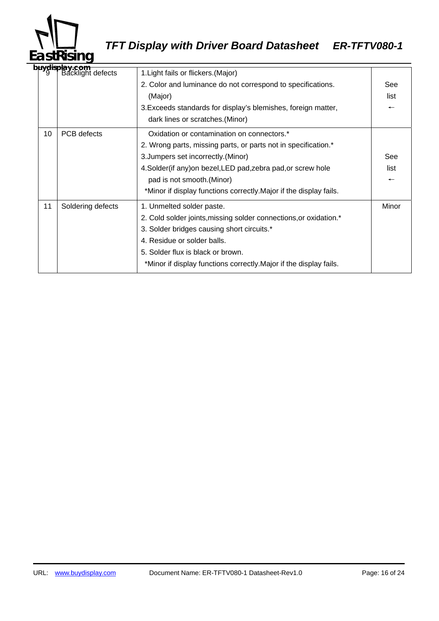![](_page_15_Picture_0.jpeg)

# *TFT Display with Driver Board Datasheet ER-TFTV080-1*

|  |    | b <b>uydisplay.com</b><br>  9   Backlight defects | 1. Light fails or flickers. (Major)                                |       |  |  |
|--|----|---------------------------------------------------|--------------------------------------------------------------------|-------|--|--|
|  |    |                                                   | 2. Color and luminance do not correspond to specifications.        | See   |  |  |
|  |    |                                                   | (Major)                                                            | list  |  |  |
|  |    |                                                   | 3. Exceeds standards for display's blemishes, foreign matter,      |       |  |  |
|  |    |                                                   | dark lines or scratches. (Minor)                                   |       |  |  |
|  | 10 | PCB defects                                       | Oxidation or contamination on connectors.*                         |       |  |  |
|  |    |                                                   | 2. Wrong parts, missing parts, or parts not in specification.*     |       |  |  |
|  |    |                                                   | 3. Jumpers set incorrectly. (Minor)                                | See   |  |  |
|  |    |                                                   | 4. Solder (if any) on bezel, LED pad, zebra pad, or screw hole     | list  |  |  |
|  |    |                                                   | pad is not smooth.(Minor)                                          |       |  |  |
|  |    |                                                   | *Minor if display functions correctly. Major if the display fails. |       |  |  |
|  | 11 | Soldering defects                                 | 1. Unmelted solder paste.                                          | Minor |  |  |
|  |    |                                                   | 2. Cold solder joints, missing solder connections, or oxidation.*  |       |  |  |
|  |    |                                                   | 3. Solder bridges causing short circuits.*                         |       |  |  |
|  |    |                                                   | 4. Residue or solder balls.                                        |       |  |  |
|  |    |                                                   | 5. Solder flux is black or brown.                                  |       |  |  |
|  |    |                                                   | *Minor if display functions correctly. Major if the display fails. |       |  |  |
|  |    |                                                   |                                                                    |       |  |  |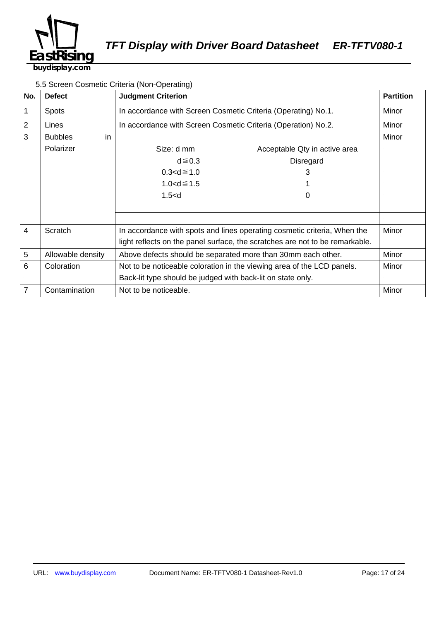![](_page_16_Picture_0.jpeg)

#### 5.5 Screen Cosmetic Criteria (Non-Operating)

| No.            | <b>Defect</b>         | <b>Judgment Criterion</b>                                                    | <b>Partition</b>                                                         |       |  |
|----------------|-----------------------|------------------------------------------------------------------------------|--------------------------------------------------------------------------|-------|--|
| 1              | <b>Spots</b>          |                                                                              | In accordance with Screen Cosmetic Criteria (Operating) No.1.            |       |  |
| $\overline{2}$ | Lines                 | In accordance with Screen Cosmetic Criteria (Operation) No.2.                |                                                                          | Minor |  |
| 3              | <b>Bubbles</b><br>in. |                                                                              |                                                                          | Minor |  |
|                | Polarizer             | Size: d mm                                                                   | Acceptable Qty in active area                                            |       |  |
|                |                       | $d \leq 0.3$                                                                 | Disregard                                                                |       |  |
|                |                       | $0.3 < d \le 1.0$                                                            | 3                                                                        |       |  |
|                |                       | $1.0 < d \le 1.5$                                                            |                                                                          |       |  |
|                |                       | $1.5<$ d                                                                     | O                                                                        |       |  |
|                |                       |                                                                              |                                                                          |       |  |
|                |                       |                                                                              |                                                                          |       |  |
| $\overline{4}$ | Scratch               |                                                                              | In accordance with spots and lines operating cosmetic criteria, When the | Minor |  |
|                |                       | light reflects on the panel surface, the scratches are not to be remarkable. |                                                                          |       |  |
| 5              | Allowable density     | Above defects should be separated more than 30mm each other.                 |                                                                          | Minor |  |
| 6              | Coloration            | Not to be noticeable coloration in the viewing area of the LCD panels.       |                                                                          | Minor |  |
|                |                       | Back-lit type should be judged with back-lit on state only.                  |                                                                          |       |  |
| $\overline{7}$ | Contamination         | Not to be noticeable.                                                        |                                                                          | Minor |  |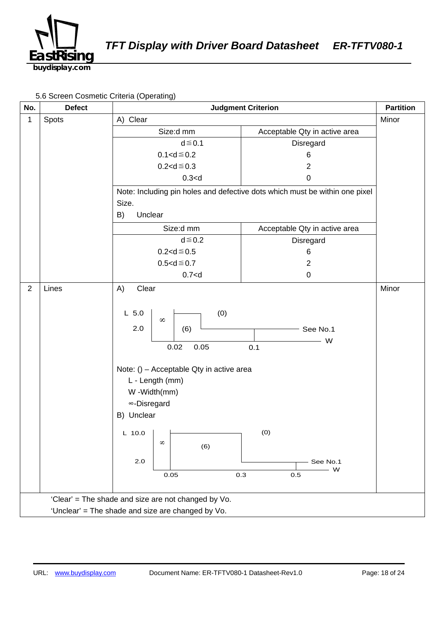![](_page_17_Picture_0.jpeg)

5.6 Screen Cosmetic Criteria (Operating)

| No.            | <b>Defect</b>                                       | <b>Judgment Criterion</b>                                                                                                                                                                                                                  |                                                                             | <b>Partition</b> |  |
|----------------|-----------------------------------------------------|--------------------------------------------------------------------------------------------------------------------------------------------------------------------------------------------------------------------------------------------|-----------------------------------------------------------------------------|------------------|--|
| 1              | Spots                                               | A) Clear                                                                                                                                                                                                                                   |                                                                             | Minor            |  |
|                |                                                     | Size:d mm                                                                                                                                                                                                                                  | Acceptable Qty in active area                                               |                  |  |
|                |                                                     | $d \leq 0.1$                                                                                                                                                                                                                               | Disregard                                                                   |                  |  |
|                |                                                     | $0.1 < d \le 0.2$                                                                                                                                                                                                                          | 6                                                                           |                  |  |
|                |                                                     | $0.2 < d \le 0.3$                                                                                                                                                                                                                          | $\overline{2}$                                                              |                  |  |
|                |                                                     | 0.3 < d                                                                                                                                                                                                                                    | 0                                                                           |                  |  |
|                |                                                     |                                                                                                                                                                                                                                            | Note: Including pin holes and defective dots which must be within one pixel |                  |  |
|                |                                                     | Size.                                                                                                                                                                                                                                      |                                                                             |                  |  |
|                |                                                     | B)<br>Unclear                                                                                                                                                                                                                              |                                                                             |                  |  |
|                |                                                     | Size:d mm                                                                                                                                                                                                                                  | Acceptable Qty in active area                                               |                  |  |
|                |                                                     | $d \leq 0.2$                                                                                                                                                                                                                               | Disregard                                                                   |                  |  |
|                |                                                     | $0.2 < d \le 0.5$                                                                                                                                                                                                                          | 6                                                                           |                  |  |
|                |                                                     | $0.5 < d \le 0.7$                                                                                                                                                                                                                          | $\overline{2}$                                                              |                  |  |
|                |                                                     | $0.7<$ d                                                                                                                                                                                                                                   | $\pmb{0}$                                                                   |                  |  |
| $\overline{2}$ | Lines                                               | Clear<br>A)                                                                                                                                                                                                                                |                                                                             | Minor            |  |
|                |                                                     | (0)<br>$L$ 5.0<br>$\infty$<br>2.0<br>(6)<br>0.02<br>0.05<br>Note: () - Acceptable Qty in active area<br>L - Length (mm)<br>W-Width(mm)<br>∞-Disregard<br>B) Unclear<br>L 10.0 $\vert$ $\vert$<br>$\infty$<br>(6)<br>$2.0\,$<br>0.3<br>0.05 | $-$ See No.1<br>W<br>0.1<br>(0)<br>See No.1<br>- W<br>$0.5\,$               |                  |  |
|                | 'Clear' = The shade and size are not changed by Vo. |                                                                                                                                                                                                                                            |                                                                             |                  |  |
|                | 'Unclear' = The shade and size are changed by Vo.   |                                                                                                                                                                                                                                            |                                                                             |                  |  |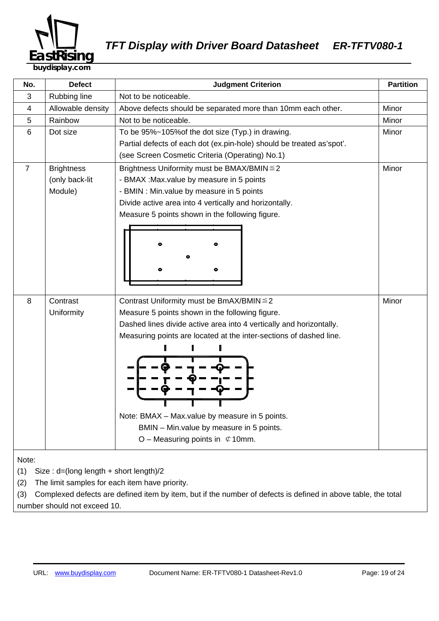![](_page_18_Picture_0.jpeg)

| No.                                                                                                                                                                                                                                     | <b>Defect</b>     | <b>Partition</b><br><b>Judgment Criterion</b>                         |       |  |  |
|-----------------------------------------------------------------------------------------------------------------------------------------------------------------------------------------------------------------------------------------|-------------------|-----------------------------------------------------------------------|-------|--|--|
| 3                                                                                                                                                                                                                                       | Rubbing line      | Not to be noticeable.                                                 |       |  |  |
| 4                                                                                                                                                                                                                                       | Allowable density | Above defects should be separated more than 10mm each other.          | Minor |  |  |
| 5                                                                                                                                                                                                                                       | Rainbow           | Not to be noticeable.                                                 | Minor |  |  |
| 6                                                                                                                                                                                                                                       | Dot size          | To be 95%~105% of the dot size (Typ.) in drawing.                     | Minor |  |  |
|                                                                                                                                                                                                                                         |                   | Partial defects of each dot (ex.pin-hole) should be treated as'spot'. |       |  |  |
|                                                                                                                                                                                                                                         |                   | (see Screen Cosmetic Criteria (Operating) No.1)                       |       |  |  |
| $\overline{7}$                                                                                                                                                                                                                          | <b>Brightness</b> | Brightness Uniformity must be BMAX/BMIN ≤ 2                           | Minor |  |  |
|                                                                                                                                                                                                                                         | (only back-lit    | - BMAX : Max value by measure in 5 points                             |       |  |  |
|                                                                                                                                                                                                                                         | Module)           | - BMIN : Min.value by measure in 5 points                             |       |  |  |
|                                                                                                                                                                                                                                         |                   | Divide active area into 4 vertically and horizontally.                |       |  |  |
|                                                                                                                                                                                                                                         |                   | Measure 5 points shown in the following figure.                       |       |  |  |
|                                                                                                                                                                                                                                         |                   |                                                                       |       |  |  |
|                                                                                                                                                                                                                                         |                   |                                                                       |       |  |  |
|                                                                                                                                                                                                                                         |                   |                                                                       |       |  |  |
|                                                                                                                                                                                                                                         |                   |                                                                       |       |  |  |
|                                                                                                                                                                                                                                         |                   |                                                                       |       |  |  |
|                                                                                                                                                                                                                                         |                   |                                                                       |       |  |  |
| 8                                                                                                                                                                                                                                       | Contrast          | Contrast Uniformity must be BmAX/BMIN ≤ 2                             | Minor |  |  |
|                                                                                                                                                                                                                                         | Uniformity        | Measure 5 points shown in the following figure.                       |       |  |  |
|                                                                                                                                                                                                                                         |                   | Dashed lines divide active area into 4 vertically and horizontally.   |       |  |  |
|                                                                                                                                                                                                                                         |                   | Measuring points are located at the inter-sections of dashed line.    |       |  |  |
|                                                                                                                                                                                                                                         |                   |                                                                       |       |  |  |
|                                                                                                                                                                                                                                         |                   |                                                                       |       |  |  |
|                                                                                                                                                                                                                                         |                   |                                                                       |       |  |  |
|                                                                                                                                                                                                                                         |                   |                                                                       |       |  |  |
|                                                                                                                                                                                                                                         |                   |                                                                       |       |  |  |
|                                                                                                                                                                                                                                         |                   |                                                                       |       |  |  |
|                                                                                                                                                                                                                                         |                   | Note: BMAX - Max.value by measure in 5 points.                        |       |  |  |
|                                                                                                                                                                                                                                         |                   | BMIN - Min.value by measure in 5 points.                              |       |  |  |
|                                                                                                                                                                                                                                         |                   | O – Measuring points in $\mathfrak{C}$ 10mm.                          |       |  |  |
|                                                                                                                                                                                                                                         |                   |                                                                       |       |  |  |
|                                                                                                                                                                                                                                         |                   |                                                                       |       |  |  |
|                                                                                                                                                                                                                                         |                   |                                                                       |       |  |  |
|                                                                                                                                                                                                                                         |                   |                                                                       |       |  |  |
| Note:<br>(1)<br>Size: d=(long length + short length)/2<br>The limit samples for each item have priority.<br>(2)<br>Complexed defects are defined item by item, but if the number of defects is defined in above table, the total<br>(3) |                   |                                                                       |       |  |  |

number should not exceed 10.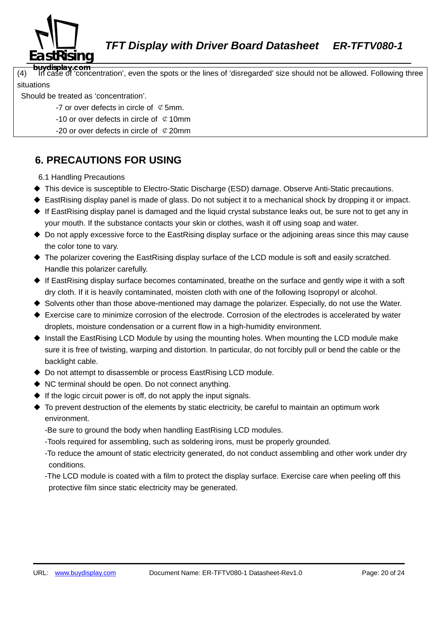![](_page_19_Picture_0.jpeg)

**buydisplay.com**<br>(4) In case of 'concentration', even the spots or the lines of 'disregarded' size should not be allowed. Following three situations

Should be treated as 'concentration'.

- -7 or over defects in circle of  $\mathcal Q$  5mm.
- -10 or over defects in circle of  $\mathfrak C$  10mm
- -20 or over defects in circle of  $\mathcal{Q}$  20mm

## **6. PRECAUTIONS FOR USING**

6.1 Handling Precautions

- ◆ This device is susceptible to Electro-Static Discharge (ESD) damage. Observe Anti-Static precautions.
- ◆ EastRising display panel is made of glass. Do not subject it to a mechanical shock by dropping it or impact.
- ◆ If EastRising display panel is damaged and the liquid crystal substance leaks out, be sure not to get any in your mouth. If the substance contacts your skin or clothes, wash it off using soap and water.
- ◆ Do not apply excessive force to the EastRising display surface or the adjoining areas since this may cause the color tone to vary.
- ◆ The polarizer covering the EastRising display surface of the LCD module is soft and easily scratched. Handle this polarizer carefully.
- ◆ If EastRising display surface becomes contaminated, breathe on the surface and gently wipe it with a soft dry cloth. If it is heavily contaminated, moisten cloth with one of the following Isopropyl or alcohol.
- ◆ Solvents other than those above-mentioned may damage the polarizer. Especially, do not use the Water.
- ◆ Exercise care to minimize corrosion of the electrode. Corrosion of the electrodes is accelerated by water droplets, moisture condensation or a current flow in a high-humidity environment.
- ◆ Install the EastRising LCD Module by using the mounting holes. When mounting the LCD module make sure it is free of twisting, warping and distortion. In particular, do not forcibly pull or bend the cable or the backlight cable.
- ◆ Do not attempt to disassemble or process EastRising LCD module.
- ◆ NC terminal should be open. Do not connect anything.
- $\blacklozenge$  If the logic circuit power is off, do not apply the input signals.
- ◆ To prevent destruction of the elements by static electricity, be careful to maintain an optimum work environment.

-Be sure to ground the body when handling EastRising LCD modules.

- -Tools required for assembling, such as soldering irons, must be properly grounded.
- -To reduce the amount of static electricity generated, do not conduct assembling and other work under dry conditions.
- -The LCD module is coated with a film to protect the display surface. Exercise care when peeling off this protective film since static electricity may be generated.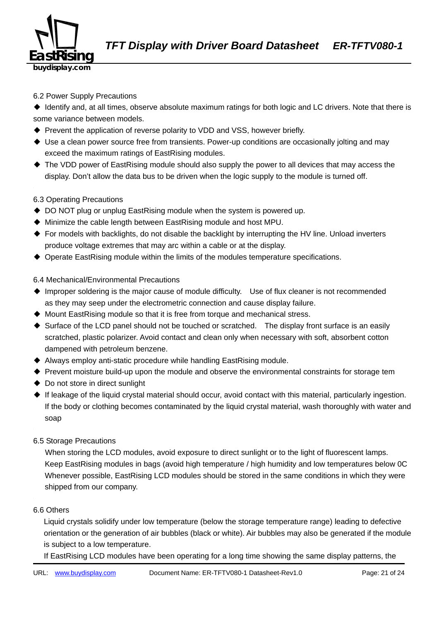![](_page_20_Picture_0.jpeg)

#### 6.2 Power Supply Precautions

◆ Identify and, at all times, observe absolute maximum ratings for both logic and LC drivers. Note that there is some variance between models.

- ◆ Prevent the application of reverse polarity to VDD and VSS, however briefly.
- ◆ Use a clean power source free from transients. Power-up conditions are occasionally jolting and may exceed the maximum ratings of EastRising modules.
- ◆ The VDD power of EastRising module should also supply the power to all devices that may access the display. Don't allow the data bus to be driven when the logic supply to the module is turned off.

#### 6.3 Operating Precautions

- ◆ DO NOT plug or unplug EastRising module when the system is powered up.
- ◆ Minimize the cable length between EastRising module and host MPU.
- ◆ For models with backlights, do not disable the backlight by interrupting the HV line. Unload inverters produce voltage extremes that may arc within a cable or at the display.
- ◆ Operate EastRising module within the limits of the modules temperature specifications.

6.4 Mechanical/Environmental Precautions

- ◆ Improper soldering is the major cause of module difficulty. Use of flux cleaner is not recommended as they may seep under the electrometric connection and cause display failure.
- ◆ Mount EastRising module so that it is free from torque and mechanical stress.
- ◆ Surface of the LCD panel should not be touched or scratched. The display front surface is an easily scratched, plastic polarizer. Avoid contact and clean only when necessary with soft, absorbent cotton dampened with petroleum benzene.
- ◆ Always employ anti-static procedure while handling EastRising module.
- ◆ Prevent moisture build-up upon the module and observe the environmental constraints for storage tem
- ◆ Do not store in direct sunlight
- ◆ If leakage of the liquid crystal material should occur, avoid contact with this material, particularly ingestion. If the body or clothing becomes contaminated by the liquid crystal material, wash thoroughly with water and soap

#### 6.5 Storage Precautions

When storing the LCD modules, avoid exposure to direct sunlight or to the light of fluorescent lamps. Keep EastRising modules in bags (avoid high temperature / high humidity and low temperatures below 0C Whenever possible, EastRising LCD modules should be stored in the same conditions in which they were shipped from our company.

#### 6.6 Others

Liquid crystals solidify under low temperature (below the storage temperature range) leading to defective orientation or the generation of air bubbles (black or white). Air bubbles may also be generated if the module is subject to a low temperature.

If EastRising LCD modules have been operating for a long time showing the same display patterns, the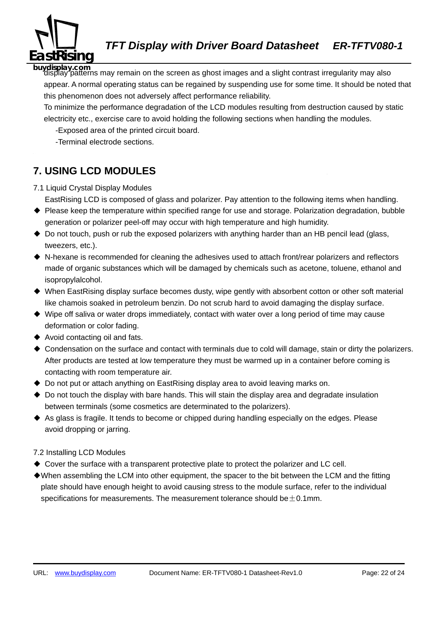![](_page_21_Picture_0.jpeg)

**buydisplay.com** display patterns may remain on the screen as ghost images and a slight contrast irregularity may also appear. A normal operating status can be regained by suspending use for some time. It should be noted that this phenomenon does not adversely affect performance reliability.

To minimize the performance degradation of the LCD modules resulting from destruction caused by static electricity etc., exercise care to avoid holding the following sections when handling the modules.

-Exposed area of the printed circuit board.

-Terminal electrode sections.

## **7. USING LCD MODULES**

#### 7.1 Liquid Crystal Display Modules

EastRising LCD is composed of glass and polarizer. Pay attention to the following items when handling.

- ◆ Please keep the temperature within specified range for use and storage. Polarization degradation, bubble generation or polarizer peel-off may occur with high temperature and high humidity.
- $\triangle$  Do not touch, push or rub the exposed polarizers with anything harder than an HB pencil lead (glass, tweezers, etc.).
- ◆ N-hexane is recommended for cleaning the adhesives used to attach front/rear polarizers and reflectors made of organic substances which will be damaged by chemicals such as acetone, toluene, ethanol and isopropylalcohol.
- ◆ When EastRising display surface becomes dusty, wipe gently with absorbent cotton or other soft material like chamois soaked in petroleum benzin. Do not scrub hard to avoid damaging the display surface.
- ◆ Wipe off saliva or water drops immediately, contact with water over a long period of time may cause deformation or color fading.
- ◆ Avoid contacting oil and fats.
- ◆ Condensation on the surface and contact with terminals due to cold will damage, stain or dirty the polarizers. After products are tested at low temperature they must be warmed up in a container before coming is contacting with room temperature air.
- ◆ Do not put or attach anything on EastRising display area to avoid leaving marks on.
- $\triangle$  Do not touch the display with bare hands. This will stain the display area and degradate insulation between terminals (some cosmetics are determinated to the polarizers).
- ◆ As glass is fragile. It tends to become or chipped during handling especially on the edges. Please avoid dropping or jarring.

#### 7.2 Installing LCD Modules

- $\triangle$  Cover the surface with a transparent protective plate to protect the polarizer and LC cell.
- ◆When assembling the LCM into other equipment, the spacer to the bit between the LCM and the fitting plate should have enough height to avoid causing stress to the module surface, refer to the individual specifications for measurements. The measurement tolerance should be  $\pm$  0.1mm.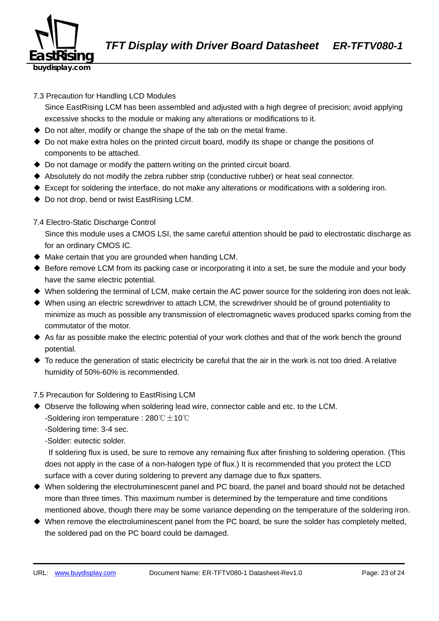![](_page_22_Picture_0.jpeg)

#### 7.3 Precaution for Handling LCD Modules

Since EastRising LCM has been assembled and adjusted with a high degree of precision; avoid applying excessive shocks to the module or making any alterations or modifications to it.

- ◆ Do not alter, modify or change the shape of the tab on the metal frame.
- ◆ Do not make extra holes on the printed circuit board, modify its shape or change the positions of components to be attached.
- ◆ Do not damage or modify the pattern writing on the printed circuit board.
- ◆ Absolutely do not modify the zebra rubber strip (conductive rubber) or heat seal connector.
- ◆ Except for soldering the interface, do not make any alterations or modifications with a soldering iron.
- ◆ Do not drop, bend or twist EastRising LCM.

#### 7.4 Electro-Static Discharge Control

Since this module uses a CMOS LSI, the same careful attention should be paid to electrostatic discharge as for an ordinary CMOS IC.

- $\blacklozenge$  Make certain that you are grounded when handing LCM.
- ◆ Before remove LCM from its packing case or incorporating it into a set, be sure the module and your body have the same electric potential.
- ◆ When soldering the terminal of LCM, make certain the AC power source for the soldering iron does not leak.
- ◆ When using an electric screwdriver to attach LCM, the screwdriver should be of ground potentiality to minimize as much as possible any transmission of electromagnetic waves produced sparks coming from the commutator of the motor.
- ◆ As far as possible make the electric potential of your work clothes and that of the work bench the ground potential.
- $\blacklozenge$  To reduce the generation of static electricity be careful that the air in the work is not too dried. A relative humidity of 50%-60% is recommended.

#### 7.5 Precaution for Soldering to EastRising LCM

- ◆ Observe the following when soldering lead wire, connector cable and etc. to the LCM. -Soldering iron temperature : 280℃ $\pm$ 10℃
	- -Soldering time: 3-4 sec.

-Solder: eutectic solder.

If soldering flux is used, be sure to remove any remaining flux after finishing to soldering operation. (This does not apply in the case of a non-halogen type of flux.) It is recommended that you protect the LCD surface with a cover during soldering to prevent any damage due to flux spatters.

- ◆ When soldering the electroluminescent panel and PC board, the panel and board should not be detached more than three times. This maximum number is determined by the temperature and time conditions mentioned above, though there may be some variance depending on the temperature of the soldering iron.
- ◆ When remove the electroluminescent panel from the PC board, be sure the solder has completely melted, the soldered pad on the PC board could be damaged.